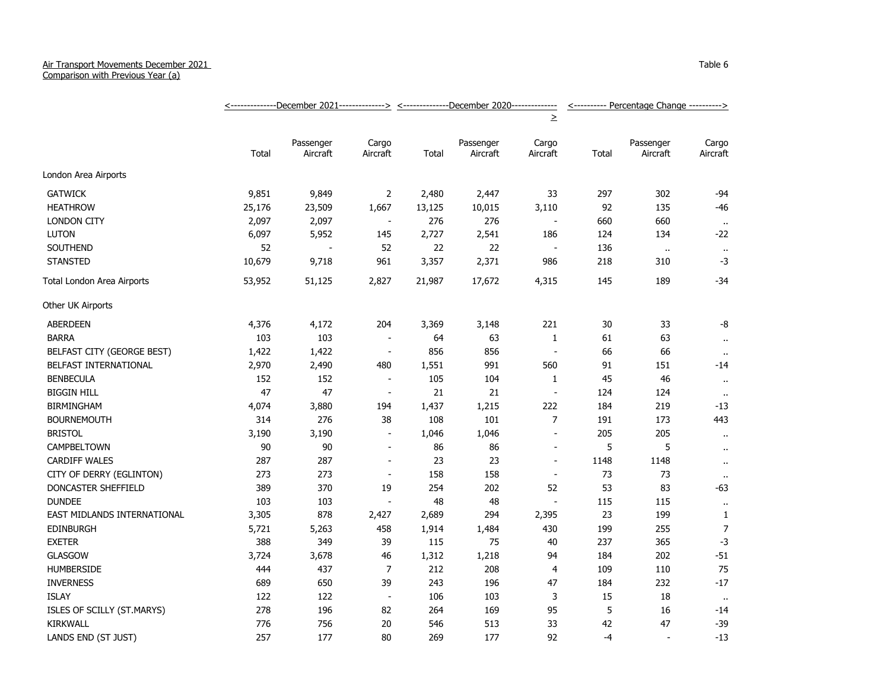## Air Transport Movements December 2021

Comparison with Previous Year (a)

|                             | <u> &lt;--------------December 2021-------------&gt; &lt;--------------December 2020-------------</u> |                       |                          |        |                       |                          | <---------- Percentage Change ----------> |                       |                   |
|-----------------------------|-------------------------------------------------------------------------------------------------------|-----------------------|--------------------------|--------|-----------------------|--------------------------|-------------------------------------------|-----------------------|-------------------|
|                             |                                                                                                       |                       |                          |        |                       | $\geq$                   |                                           |                       |                   |
|                             | Total                                                                                                 | Passenger<br>Aircraft | Cargo<br>Aircraft        | Total  | Passenger<br>Aircraft | Cargo<br>Aircraft        | Total                                     | Passenger<br>Aircraft | Cargo<br>Aircraft |
| London Area Airports        |                                                                                                       |                       |                          |        |                       |                          |                                           |                       |                   |
| <b>GATWICK</b>              | 9,851                                                                                                 | 9,849                 | $\overline{2}$           | 2,480  | 2,447                 | 33                       | 297                                       | 302                   | $-94$             |
| <b>HEATHROW</b>             | 25,176                                                                                                | 23,509                | 1,667                    | 13,125 | 10,015                | 3,110                    | 92                                        | 135                   | $-46$             |
| <b>LONDON CITY</b>          | 2,097                                                                                                 | 2,097                 | $\blacksquare$           | 276    | 276                   | $\sim$                   | 660                                       | 660                   | $\sim$            |
| <b>LUTON</b>                | 6,097                                                                                                 | 5,952                 | 145                      | 2,727  | 2,541                 | 186                      | 124                                       | 134                   | $-22$             |
| SOUTHEND                    | 52                                                                                                    |                       | 52                       | 22     | 22                    | $\sim$                   | 136                                       | $\alpha$              | $\bullet$         |
| <b>STANSTED</b>             | 10,679                                                                                                | 9,718                 | 961                      | 3,357  | 2,371                 | 986                      | 218                                       | 310                   | $-3$              |
| Total London Area Airports  | 53,952                                                                                                | 51,125                | 2,827                    | 21,987 | 17,672                | 4,315                    | 145                                       | 189                   | $-34$             |
| Other UK Airports           |                                                                                                       |                       |                          |        |                       |                          |                                           |                       |                   |
| <b>ABERDEEN</b>             | 4,376                                                                                                 | 4,172                 | 204                      | 3,369  | 3,148                 | 221                      | 30                                        | 33                    | -8                |
| <b>BARRA</b>                | 103                                                                                                   | 103                   | $\blacksquare$           | 64     | 63                    | $\mathbf{1}$             | 61                                        | 63                    | $\alpha$          |
| BELFAST CITY (GEORGE BEST)  | 1,422                                                                                                 | 1,422                 | $\blacksquare$           | 856    | 856                   | $\overline{\phantom{a}}$ | 66                                        | 66                    | $\alpha$          |
| BELFAST INTERNATIONAL       | 2,970                                                                                                 | 2,490                 | 480                      | 1,551  | 991                   | 560                      | 91                                        | 151                   | $-14$             |
| <b>BENBECULA</b>            | 152                                                                                                   | 152                   | $\overline{\phantom{a}}$ | 105    | 104                   | $\mathbf{1}$             | 45                                        | 46                    | $\bullet$ .       |
| <b>BIGGIN HILL</b>          | 47                                                                                                    | 47                    | $\sim$                   | 21     | 21                    | $\blacksquare$           | 124                                       | 124                   | $\mathbf{u}$      |
| <b>BIRMINGHAM</b>           | 4,074                                                                                                 | 3,880                 | 194                      | 1,437  | 1,215                 | 222                      | 184                                       | 219                   | $-13$             |
| <b>BOURNEMOUTH</b>          | 314                                                                                                   | 276                   | 38                       | 108    | 101                   | $\overline{7}$           | 191                                       | 173                   | 443               |
| <b>BRISTOL</b>              | 3,190                                                                                                 | 3,190                 |                          | 1,046  | 1,046                 | $\blacksquare$           | 205                                       | 205                   | $\sim$            |
| <b>CAMPBELTOWN</b>          | 90                                                                                                    | 90                    | $\sim$                   | 86     | 86                    | $\overline{\phantom{a}}$ | 5                                         | 5                     | $\bullet$         |
| CARDIFF WALES               | 287                                                                                                   | 287                   | $\blacksquare$           | 23     | 23                    | $\blacksquare$           | 1148                                      | 1148                  | $\cdot$ .         |
| CITY OF DERRY (EGLINTON)    | 273                                                                                                   | 273                   | $\blacksquare$           | 158    | 158                   | $\overline{\phantom{a}}$ | 73                                        | 73                    | $\cdot$ .         |
| DONCASTER SHEFFIELD         | 389                                                                                                   | 370                   | 19                       | 254    | 202                   | 52                       | 53                                        | 83                    | $-63$             |
| <b>DUNDEE</b>               | 103                                                                                                   | 103                   |                          | 48     | 48                    | $\blacksquare$           | 115                                       | 115                   | $\bullet$         |
| EAST MIDLANDS INTERNATIONAL | 3,305                                                                                                 | 878                   | 2,427                    | 2,689  | 294                   | 2,395                    | 23                                        | 199                   | $\mathbf{1}$      |
| EDINBURGH                   | 5,721                                                                                                 | 5,263                 | 458                      | 1,914  | 1,484                 | 430                      | 199                                       | 255                   | $\overline{7}$    |
| <b>EXETER</b>               | 388                                                                                                   | 349                   | 39                       | 115    | 75                    | $40\,$                   | 237                                       | 365                   | $-3$              |
| <b>GLASGOW</b>              | 3,724                                                                                                 | 3,678                 | 46                       | 1,312  | 1,218                 | 94                       | 184                                       | 202                   | $-51$             |
| <b>HUMBERSIDE</b>           | 444                                                                                                   | 437                   | $\overline{7}$           | 212    | 208                   | 4                        | 109                                       | 110                   | 75                |
| <b>INVERNESS</b>            | 689                                                                                                   | 650                   | 39                       | 243    | 196                   | 47                       | 184                                       | 232                   | $-17$             |
| <b>ISLAY</b>                | 122                                                                                                   | 122                   | $\sim$                   | 106    | 103                   | 3                        | 15                                        | 18                    | $\bullet$         |
| ISLES OF SCILLY (ST.MARYS)  | 278                                                                                                   | 196                   | 82                       | 264    | 169                   | 95                       | 5                                         | 16                    | $-14$             |
| <b>KIRKWALL</b>             | 776                                                                                                   | 756                   | 20                       | 546    | 513                   | 33                       | 42                                        | 47                    | $-39$             |
| LANDS END (ST JUST)         | 257                                                                                                   | 177                   | 80                       | 269    | 177                   | 92                       | $-4$                                      | $\blacksquare$        | $-13$             |